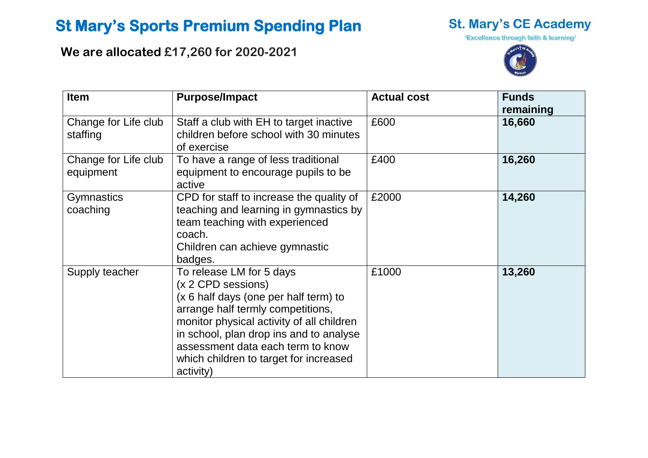## **St Mary's Sports Premium Spending Plan**

**We are allocated £17,260 for 2020-2021**



'Excellence through faith & learning'



| <b>Item</b>                       | <b>Purpose/Impact</b>                                                                                                                                                                                                                                                                                            | <b>Actual cost</b> | <b>Funds</b><br>remaining |
|-----------------------------------|------------------------------------------------------------------------------------------------------------------------------------------------------------------------------------------------------------------------------------------------------------------------------------------------------------------|--------------------|---------------------------|
| Change for Life club<br>staffing  | Staff a club with EH to target inactive<br>children before school with 30 minutes<br>of exercise                                                                                                                                                                                                                 | £600               | 16,660                    |
| Change for Life club<br>equipment | To have a range of less traditional<br>equipment to encourage pupils to be<br>active                                                                                                                                                                                                                             | £400               | 16,260                    |
| <b>Gymnastics</b><br>coaching     | CPD for staff to increase the quality of<br>teaching and learning in gymnastics by<br>team teaching with experienced<br>coach.<br>Children can achieve gymnastic<br>badges.                                                                                                                                      | £2000              | 14,260                    |
| Supply teacher                    | To release LM for 5 days<br>(x 2 CPD sessions)<br>(x 6 half days (one per half term) to<br>arrange half termly competitions,<br>monitor physical activity of all children<br>in school, plan drop ins and to analyse<br>assessment data each term to know<br>which children to target for increased<br>activity) | £1000              | 13,260                    |